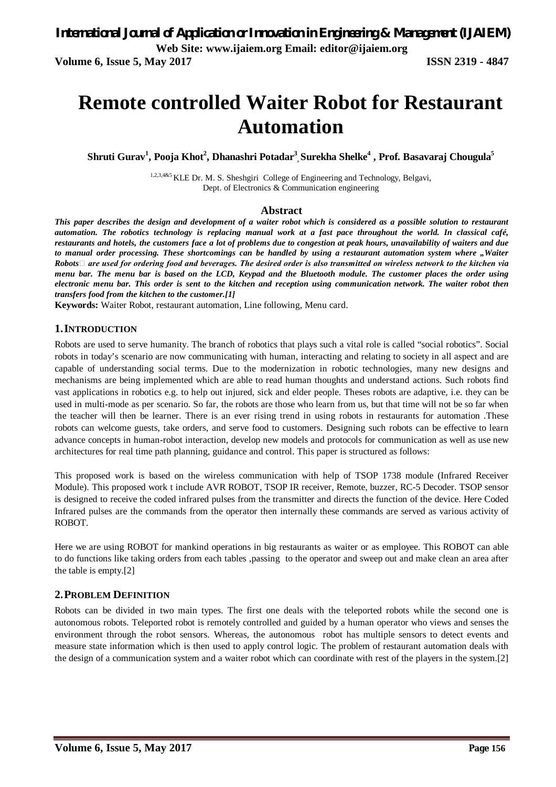**Volume 6, Issue 5, May 2017 ISSN 2319 - 4847** 

# **Remote controlled Waiter Robot for Restaurant Automation**

**Shruti Gurav<sup>1</sup> , Pooja Khot<sup>2</sup> , Dhanashri Potadar<sup>3</sup> , Surekha Shelke<sup>4</sup> , Prof. Basavaraj Chougula<sup>5</sup>**

1,2,3,4&5 KLE Dr. M. S. Sheshgiri College of Engineering and Technology, Belgavi, Dept. of Electronics & Communication engineering

#### **Abstract**

*This paper describes the design and development of a waiter robot which is considered as a possible solution to restaurant automation. The robotics technology is replacing manual work at a fast pace throughout the world. In classical café, restaurants and hotels, the customers face a lot of problems due to congestion at peak hours, unavailability of waiters and due*  to manual order processing. These shortcomings can be handled by using a restaurant automation system where "Waiter *Robots*□ are used for ordering food and beverages. The desired order is also transmitted on wireless network to the kitchen via *menu bar. The menu bar is based on the LCD, Keypad and the Bluetooth module. The customer places the order using electronic menu bar. This order is sent to the kitchen and reception using communication network. The waiter robot then transfers food from the kitchen to the customer.[1]*

**Keywords:** Waiter Robot, restaurant automation, Line following, Menu card.

#### **1.INTRODUCTION**

Robots are used to serve humanity. The branch of robotics that plays such a vital role is called "social robotics". Social robots in today's scenario are now communicating with human, interacting and relating to society in all aspect and are capable of understanding social terms. Due to the modernization in robotic technologies, many new designs and mechanisms are being implemented which are able to read human thoughts and understand actions. Such robots find vast applications in robotics e.g. to help out injured, sick and elder people. Theses robots are adaptive, i.e. they can be used in multi-mode as per scenario. So far, the robots are those who learn from us, but that time will not be so far when the teacher will then be learner. There is an ever rising trend in using robots in restaurants for automation .These robots can welcome guests, take orders, and serve food to customers. Designing such robots can be effective to learn advance concepts in human-robot interaction, develop new models and protocols for communication as well as use new architectures for real time path planning, guidance and control. This paper is structured as follows:

This proposed work is based on the wireless communication with help of TSOP 1738 module (Infrared Receiver Module). This proposed work t include AVR ROBOT, TSOP IR receiver, Remote, buzzer, RC-5 Decoder. TSOP sensor is designed to receive the coded infrared pulses from the transmitter and directs the function of the device. Here Coded Infrared pulses are the commands from the operator then internally these commands are served as various activity of ROBOT.

Here we are using ROBOT for mankind operations in big restaurants as waiter or as employee. This ROBOT can able to do functions like taking orders from each tables ,passing to the operator and sweep out and make clean an area after the table is empty.[2]

#### **2.PROBLEM DEFINITION**

Robots can be divided in two main types. The first one deals with the teleported robots while the second one is autonomous robots. Teleported robot is remotely controlled and guided by a human operator who views and senses the environment through the robot sensors. Whereas, the autonomous robot has multiple sensors to detect events and measure state information which is then used to apply control logic. The problem of restaurant automation deals with the design of a communication system and a waiter robot which can coordinate with rest of the players in the system.[2]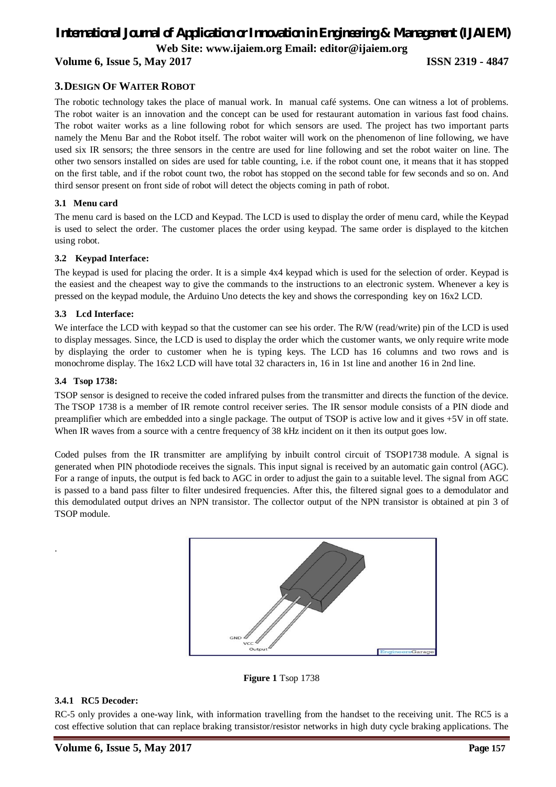## *International Journal of Application or Innovation in Engineering & Management (IJAIEM)* **Web Site: www.ijaiem.org Email: editor@ijaiem.org**

**Volume 6, Issue 5, May 2017 ISSN 2319 - 4847**

#### **3.DESIGN OF WAITER ROBOT**

The robotic technology takes the place of manual work. In manual café systems. One can witness a lot of problems. The robot waiter is an innovation and the concept can be used for restaurant automation in various fast food chains. The robot waiter works as a line following robot for which sensors are used. The project has two important parts namely the Menu Bar and the Robot itself. The robot waiter will work on the phenomenon of line following, we have used six IR sensors; the three sensors in the centre are used for line following and set the robot waiter on line. The other two sensors installed on sides are used for table counting, i.e. if the robot count one, it means that it has stopped on the first table, and if the robot count two, the robot has stopped on the second table for few seconds and so on. And third sensor present on front side of robot will detect the objects coming in path of robot.

#### **3.1 Menu card**

The menu card is based on the LCD and Keypad. The LCD is used to display the order of menu card, while the Keypad is used to select the order. The customer places the order using keypad. The same order is displayed to the kitchen using robot.

#### **3.2 Keypad Interface:**

The keypad is used for placing the order. It is a simple 4x4 keypad which is used for the selection of order. Keypad is the easiest and the cheapest way to give the commands to the instructions to an electronic system. Whenever a key is pressed on the keypad module, the Arduino Uno detects the key and shows the corresponding key on 16x2 LCD.

#### **3.3 Lcd Interface:**

We interface the LCD with keypad so that the customer can see his order. The R/W (read/write) pin of the LCD is used to display messages. Since, the LCD is used to display the order which the customer wants, we only require write mode by displaying the order to customer when he is typing keys. The LCD has 16 columns and two rows and is monochrome display. The 16x2 LCD will have total 32 characters in, 16 in 1st line and another 16 in 2nd line.

#### **3.4 Tsop 1738:**

.

TSOP sensor is designed to receive the coded infrared pulses from the transmitter and directs the function of the device. The TSOP 1738 is a member of IR remote control receiver series. The IR sensor module consists of a PIN diode and preamplifier which are embedded into a single package. The output of TSOP is active low and it gives +5V in off state. When IR waves from a source with a centre frequency of 38 kHz incident on it then its output goes low.

Coded pulses from the IR transmitter are amplifying by inbuilt control circuit of TSOP1738 module. A signal is generated when PIN photodiode receives the signals. This input signal is received by an automatic gain control (AGC). For a range of inputs, the output is fed back to AGC in order to adjust the gain to a suitable level. The signal from AGC is passed to a band pass filter to filter undesired frequencies. After this, the filtered signal goes to a demodulator and this demodulated output drives an NPN transistor. The collector output of the NPN transistor is obtained at pin 3 of TSOP module.



**Figure 1** Tsop 1738

#### **3.4.1 RC5 Decoder:**

RC-5 only provides a one-way link, with information travelling from the handset to the receiving unit. The RC5 is a cost effective solution that can replace braking transistor/resistor networks in high duty cycle braking applications. The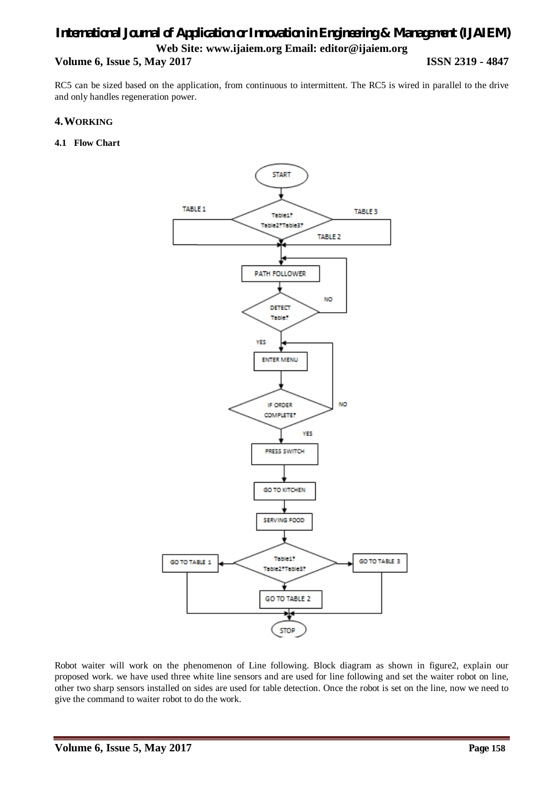## *International Journal of Application or Innovation in Engineering & Management (IJAIEM)* **Web Site: www.ijaiem.org Email: editor@ijaiem.org Volume 6, Issue 5, May 2017 ISSN 2319 - 4847**

RC5 can be sized based on the application, from continuous to intermittent. The RC5 is wired in parallel to the drive and only handles regeneration power.

#### **4.WORKING**

#### **4.1 Flow Chart**



Robot waiter will work on the phenomenon of Line following. Block diagram as shown in figure2, explain our proposed work. we have used three white line sensors and are used for line following and set the waiter robot on line, other two sharp sensors installed on sides are used for table detection. Once the robot is set on the line, now we need to give the command to waiter robot to do the work.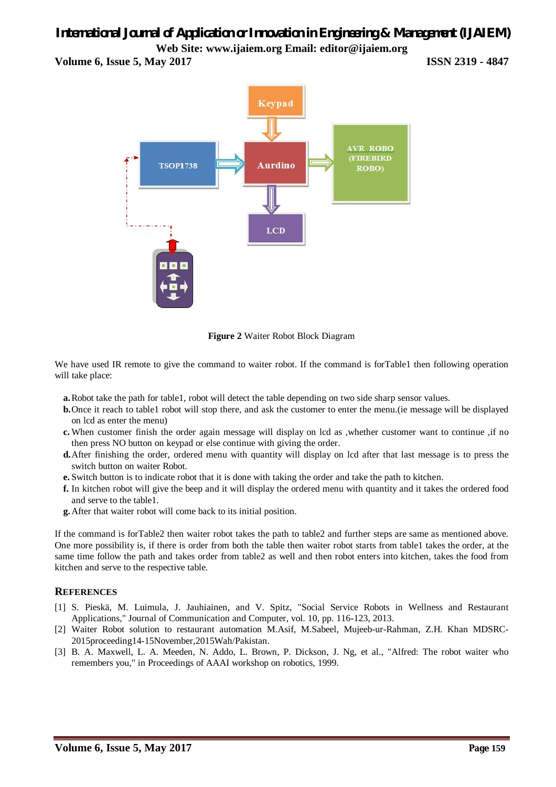## *International Journal of Application or Innovation in Engineering & Management (IJAIEM)* **Web Site: www.ijaiem.org Email: editor@ijaiem.org**

**Volume 6, Issue 5, May 2017 ISSN 2319 - 4847** 



**Figure 2** Waiter Robot Block Diagram

We have used IR remote to give the command to waiter robot. If the command is forTable1 then following operation will take place:

- **a.**Robot take the path for table1, robot will detect the table depending on two side sharp sensor values.
- **b.**Once it reach to table1 robot will stop there, and ask the customer to enter the menu.(ie message will be displayed on lcd as enter the menu)
- **c.** When customer finish the order again message will display on lcd as ,whether customer want to continue ,if no then press NO button on keypad or else continue with giving the order.
- **d.**After finishing the order, ordered menu with quantity will display on lcd after that last message is to press the switch button on waiter Robot.
- **e.** Switch button is to indicate robot that it is done with taking the order and take the path to kitchen.
- **f.** In kitchen robot will give the beep and it will display the ordered menu with quantity and it takes the ordered food and serve to the table1.
- **g.**After that waiter robot will come back to its initial position.

If the command is forTable2 then waiter robot takes the path to table2 and further steps are same as mentioned above. One more possibility is, if there is order from both the table then waiter robot starts from table1 takes the order, at the same time follow the path and takes order from table2 as well and then robot enters into kitchen, takes the food from kitchen and serve to the respective table.

#### **REFERENCES**

- [1] S. Pieskä, M. Luimula, J. Jauhiainen, and V. Spitz, "Social Service Robots in Wellness and Restaurant Applications," Journal of Communication and Computer, vol. 10, pp. 116-123, 2013.
- [2] Waiter Robot solution to restaurant automation M.Asif, M.Sabeel, Mujeeb-ur-Rahman, Z.H. Khan MDSRC-2015proceeding14-15November,2015Wah/Pakistan.
- [3] B. A. Maxwell, L. A. Meeden, N. Addo, L. Brown, P. Dickson, J. Ng, et al., "Alfred: The robot waiter who remembers you," in Proceedings of AAAI workshop on robotics, 1999.